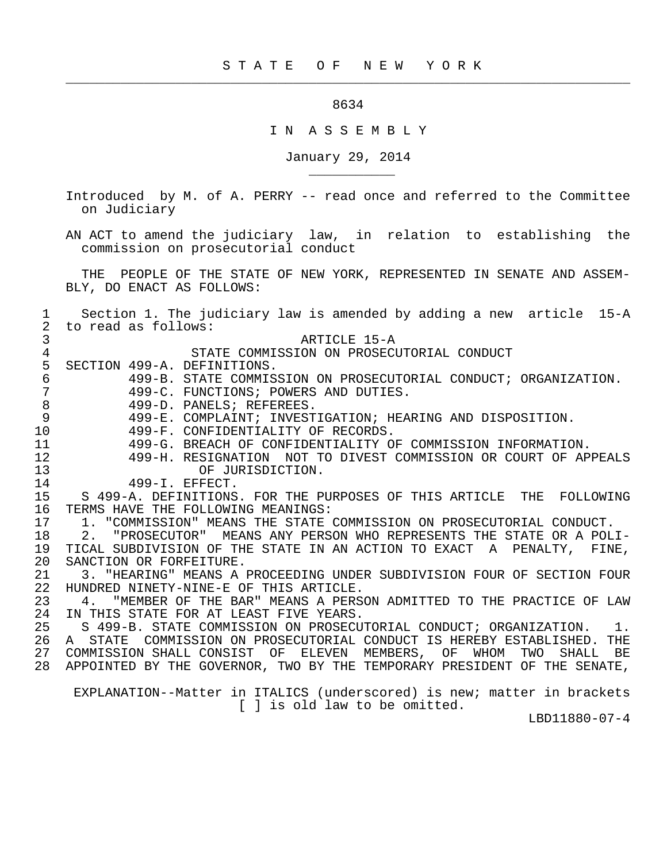## 8634

 $\frac{1}{2}$  , and the contribution of the contribution of the contribution of the contribution of the contribution of the contribution of the contribution of the contribution of the contribution of the contribution of the c

\_\_\_\_\_\_\_\_\_\_\_

## I N A S S E M B L Y

January 29, 2014

 Introduced by M. of A. PERRY -- read once and referred to the Committee on Judiciary

 AN ACT to amend the judiciary law, in relation to establishing the commission on prosecutorial conduct

 THE PEOPLE OF THE STATE OF NEW YORK, REPRESENTED IN SENATE AND ASSEM- BLY, DO ENACT AS FOLLOWS:

 1 Section 1. The judiciary law is amended by adding a new article 15-A 2 to read as follows: 3<br>4 STATE COMMISSION ON PROSECURE 2 4 STATE COMMISSION ON PROSECUTORIAL CONDUCT<br>5 SECTION 499-A. DEFINITIONS. 5 SECTION 499-A. DEFINITIONS.<br>6 499-B. STATE COMMIS. 6 499-B. STATE COMMISSION ON PROSECUTORIAL CONDUCT; ORGANIZATION. 7 499-C. FUNCTIONS; POWERS AND DUTIES. 8 499-D. PANELS; REFEREES.<br>9 499-E. COMPLAINT; INVEST 9 499-E. COMPLAINT; INVESTIGATION; HEARING AND DISPOSITION. 10 499-F. CONFIDENTIALITY OF RECORDS.<br>11 499-G. BREACH OF CONFIDENTIALITY O 11 499-G. BREACH OF CONFIDENTIALITY OF COMMISSION INFORMATION.<br>12 499-H. RESIGNATION NOT TO DIVEST COMMISSION OR COURT OF AP 12 499-H. RESIGNATION NOT TO DIVEST COMMISSION OR COURT OF APPEALS 13 OF JURISDICTION.<br>14 499-I. EFFECT. 14 499-1. EFFECT.<br>15 S 499-A. DEFINITIONS 15 S 499-A. DEFINITIONS. FOR THE PURPOSES OF THIS ARTICLE THE FOLLOWING<br>16 TERMS HAVE THE FOLLOWING MEANINGS: 16 TERMS HAVE THE FOLLOWING MEANINGS:<br>17 1. "COMMISSION" MEANS THE STATE 17 1. "COMMISSION" MEANS THE STATE COMMISSION ON PROSECUTORIAL CONDUCT.<br>18 2. "PROSECUTOR" MEANS ANY PERSON WHO REPRESENTS THE STATE OR A POL 2. "PROSECUTOR" MEANS ANY PERSON WHO REPRESENTS THE STATE OR A POLI-19 TICAL SUBDIVISION OF THE STATE IN AN ACTION TO EXACT A PENALTY, FINE,<br>20 SANCTION OR FORFEITURE. 20 SANCTION OR FORFEITURE.<br>21 3. "HEARING" MEANS A 21 3. "HEARING" MEANS A PROCEEDING UNDER SUBDIVISION FOUR OF SECTION FOUR<br>22 HUNDRED NINETY-NINE-E OF THIS ARTICLE. 22 HUNDRED NINETY-NINE-E OF THIS ARTICLE.<br>23 4. "MEMBER OF THE BAR" MEANS A PERSO 23 4. "MEMBER OF THE BAR" MEANS A PERSON ADMITTED TO THE PRACTICE OF LAW 24 IN THIS STATE FOR AT LEAST FIVE YEARS. 24 IN THIS STATE FOR AT LEAST FIVE YEARS.<br>25 S 499-B. STATE COMMISSION ON PROSECU 25 S 499-B. STATE COMMISSION ON PROSECUTORIAL CONDUCT; ORGANIZATION. 1. 26 A STATE COMMISSION ON PROSECUTORIAL CONDUCT IS HEREBY ESTABLISHED. THE<br>27 COMMISSION SHALL CONSIST OF ELEVEN MEMBERS, OF WHOM TWO SHALL BE 27 COMMISSION SHALL CONSIST OF ELEVEN MEMBERS, OF WHOM TWO SHALL BE 28 APPOINTED BY THE GOVERNOR, TWO BY THE TEMPORARY PRESIDENT OF THE SENATE, EXPLANATION--Matter in ITALICS (underscored) is new; matter in brackets [ ] is old law to be omitted.

LBD11880-07-4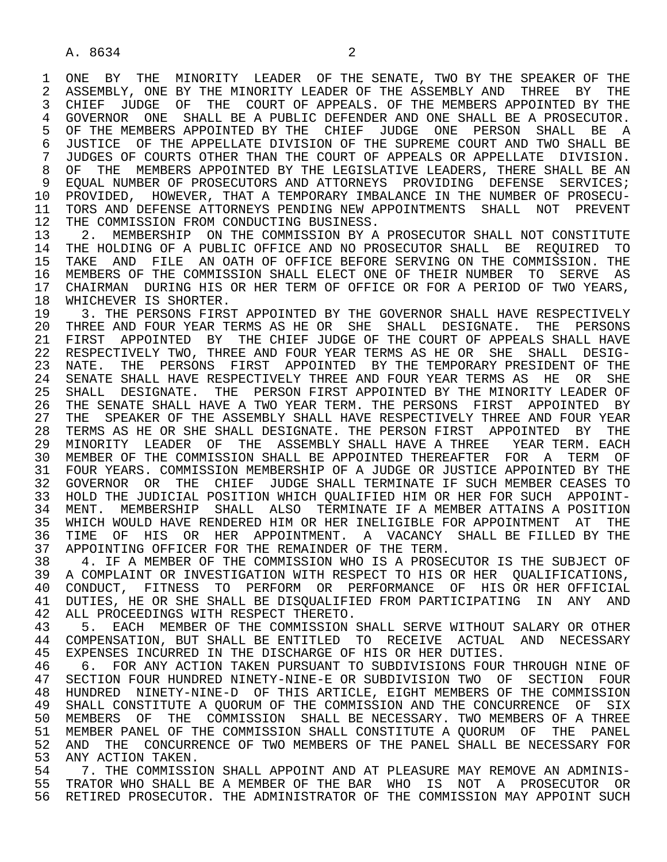1 ONE BY THE MINORITY LEADER OF THE SENATE, TWO BY THE SPEAKER OF THE 2 ASSEMBLY, ONE BY THE MINORITY LEADER OF THE ASSEMBLY AND THREE BY THE 2 ASSEMBLY, ONE BY THE MINORITY LEADER OF THE ASSEMBLY AND THREE BY THE<br>3 CHIEF JUDGE OF THE COURT OF APPEALS. OF THE MEMBERS APPOINTED BY THE 3 CHIEF JUDGE OF THE COURT OF APPEALS. OF THE MEMBERS APPOINTED BY THE 4 GOVERNOR ONE SHALL BE A PUBLIC DEFENDER AND ONE SHALL BE A PROSECUTOR.<br>5 OF THE MEMBERS APPOINTED BY THE CHIEF JUDGE ONE PERSON SHALL BE A 5 OF THE MEMBERS APPOINTED BY THE CHIEF JUDGE ONE PERSON SHALL BE A<br>6 JUSTICE OF THE APPELLATE DIVISION OF THE SUPREME COURT AND TWO SHALL BE 6 JUSTICE OF THE APPELLATE DIVISION OF THE SUPREME COURT AND TWO SHALL BE 6 JUSTICE OF COURTS OTHER THAN THE COURT OF APPEALS OR APPELLATE DIVISION. 7 JUDGES OF COURTS OTHER THAN THE COURT OF APPEALS OR APPELLATE DIVISION.<br>8 OF THE MEMBERS APPOINTED BY THE LEGISLATIVE LEADERS, THERE SHALL BE AN 8 OF THE MEMBERS APPOINTED BY THE LEGISLATIVE LEADERS, THERE SHALL BE AN 8 OF PROSECUTORS AND ATTORNEYS PROVIDING DEFENSE SERVICES; 9 EQUAL NUMBER OF PROSECUTORS AND ATTORNEYS PROVIDING DEFENSE SERVICES;<br>10 PROVIDED, HOWEVER, THAT A TEMPORARY IMBALANCE IN THE NUMBER OF PROSECU-10 PROVIDED, HOWEVER, THAT A TEMPORARY IMBALANCE IN THE NUMBER OF PROSECU-<br>11 TORS AND DEFENSE ATTORNEYS PENDING NEW APPOINTMENTS SHALL NOT PREVENT 11 TORS AND DEFENSE ATTORNEYS PENDING NEW APPOINTMENTS SHALL NOT PREVENT<br>12 THE COMMISSION FROM CONDUCTING BUSINESS. 12 THE COMMISSION FROM CONDUCTING BUSINESS.<br>13 2. MEMBERSHIP ON THE COMMISSION BY A

13 12. MEMBERSHIP ON THE COMMISSION BY A PROSECUTOR SHALL NOT CONSTITUTE<br>14 THE HOLDING OF A PUBLIC OFFICE AND NO PROSECUTOR SHALL BE REQUIRED TO THE HOLDING OF A PUBLIC OFFICE AND NO PROSECUTOR SHALL BE REOUIRED TO 15 TAKE AND FILE AN OATH OF OFFICE BEFORE SERVING ON THE COMMISSION. THE 16 MEMBERS OF THE COMMISSION SHALL ELECT ONE OF THEIR NUMBER TO SERVE AS<br>17 CHAIRMAN DURING HIS OR HER TERM OF OFFICE OR FOR A PERIOD OF TWO YEARS. 17 CHAIRMAN DURING HIS OR HER TERM OF OFFICE OR FOR A PERIOD OF TWO YEARS, 18 WHICHEVER IS SHORTER. 18 WHICHEVER IS SHORTER.<br>19 3. THE PERSONS FIRS'

19 13. THE PERSONS FIRST APPOINTED BY THE GOVERNOR SHALL HAVE RESPECTIVELY<br>20 THREE AND FOUR YEAR TERMS AS HE OR SHE SHALL DESIGNATE. THE PERSONS 20 THREE AND FOUR YEAR TERMS AS HE OR SHE SHALL DESIGNATE. THE PERSONS<br>21 FIRST APPOINTED BY THE CHIEF JUDGE OF THE COURT OF APPEALS SHALL HAVE 21 FIRST APPOINTED BY THE CHIEF JUDGE OF THE COURT OF APPEALS SHALL HAVE<br>22 RESPECTIVELY TWO, THREE AND FOUR YEAR TERMS AS HE OR SHE SHALL DESIG-22 RESPECTIVELY TWO, THREE AND FOUR YEAR TERMS AS HE OR SHE SHALL DESIG-<br>23 NATE. THE PERSONS FIRST APPOINTED BY THE TEMPORARY PRESIDENT OF THE 23 NATE. THE PERSONS FIRST APPOINTED BY THE TEMPORARY PRESIDENT OF THE 24 SENATE SHALL HAVE RESPECTIVELY THREE AND FOUR YEAR TERMS AS HE OR SHE 24 SENATE SHALL HAVE RESPECTIVELY THREE AND FOUR YEAR TERMS AS HE OR SHE<br>25 SHALL DESIGNATE. THE PERSON FIRST APPOINTED BY THE MINORITY LEADER OF SHALL DESIGNATE. THE PERSON FIRST APPOINTED BY THE MINORITY LEADER OF 26 THE SENATE SHALL HAVE A TWO YEAR TERM. THE PERSONS FIRST APPOINTED BY<br>27 THE SPEAKER OF THE ASSEMBLY SHALL HAVE RESPECTIVELY THREE AND FOUR YEAR 27 THE SPEAKER OF THE ASSEMBLY SHALL HAVE RESPECTIVELY THREE AND FOUR YEAR<br>28 TERMS AS HE OR SHE SHALL DESIGNATE. THE PERSON FIRST APPOINTED BY THE 28 TERMS AS HE OR SHE SHALL DESIGNATE. THE PERSON FIRST APPOINTED BY THE 29 MINORITY LEADER OF THE ASSEMBLY SHALL HAVE A THREE YEAR TERM. EACH 29 MINORITY LEADER OF THE ASSEMBLY SHALL HAVE A THREE YEAR TERM. EACH 30 MEMBER OF THE COMMISSION SHALL BE APPOINTED THEREAFTER FOR A TERM OF<br>31 FOUR YEARS, COMMISSION MEMBERSHIP OF A JUDGE OR JUSTICE APPOINTED BY THE 31 FOUR YEARS. COMMISSION MEMBERSHIP OF A JUDGE OR JUSTICE APPOINTED BY THE THE CHASES TO 32 GOVERNOR OR THE CHIEF JUDGE SHALL TERMINATE IF SUCH MEMBER CEASES TO<br>33 HOLD THE JUDICIAL POSITION WHICH OUALIFIED HIM OR HER FOR SUCH APPOINT-33 HOLD THE JUDICIAL POSITION WHICH QUALIFIED HIM OR HER FOR SUCH APPOINT-<br>34 MENT. MEMBERSHIP SHALL ALSO TERMINATE IF A MEMBER ATTAINS A POSITION 34 MENT. MEMBERSHIP SHALL ALSO TERMINATE IF A MEMBER ATTAINS A POSITION<br>35 WHICH WOULD HAVE RENDERED HIM OR HER INELIGIBLE FOR APPOINTMENT AT THE 35 WHICH WOULD HAVE RENDERED HIM OR HER INELIGIBLE FOR APPOINTMENT AT THE<br>36 TIME OF HIS OR HER APPOINTMENT. A VACANCY SHALL BE FILLED BY THE TIME OF HIS OR HER APPOINTMENT. A VACANCY SHALL BE FILLED BY THE 37 APPOINTING OFFICER FOR THE REMAINDER OF THE TERM.<br>38 4. IF A MEMBER OF THE COMMISSION WHO IS A PROSEG

38 THE A MEMBER OF THE COMMISSION WHO IS A PROSECUTOR IS THE SUBJECT OF 39 A COMPLAINT OR INVESTIGATION WITH RESPECT TO HIS OR HER OUALIFICATIONS. 39 A COMPLAINT OR INVESTIGATION WITH RESPECT TO HIS OR HER QUALIFICATIONS,<br>40 CONDUCT, FITNESS TO PERFORM OR PERFORMANCE OF HIS OR HER OFFICIAL 40 CONDUCT, FITNESS TO PERFORM OR PERFORMANCE OF HIS ORHER OFFICIAL<br>41 DUTIES, HE OR SHE SHALL BE DISOUALIFIED FROM PARTICIPATING IN ANY AND 41 DUTIES, HE OR SHE SHALL BE DISQUALIFIED FROM PARTICIPATING IN ANY AND<br>42 ALL PROCEEDINGS WITH RESPECT THERETO. 42 ALL PROCEEDINGS WITH RESPECT THERETO.<br>43 5. EACH MEMBER OF THE COMMISSION

43 5. EACH MEMBER OF THE COMMISSION SHALL SERVE WITHOUT SALARY OR OTHER<br>44 COMPENSATION, BUT SHALL BE ENTITLED TO RECEIVE ACTUAL AND NECESSARY 44 COMPENSATION, BUT SHALL BE ENTITLED TO RECEIVE ACTUAL AND NECESSARY<br>45 EXPENSES INCURRED IN THE DISCHARGE OF HIS OR HER DUTIES. EXPENSES INCURRED IN THE DISCHARGE OF HIS OR HER DUTIES.

46 6. FOR ANY ACTION TAKEN PURSUANT TO SUBDIVISIONS FOUR THROUGH NINE OF 47 SECTION FOUR 47 SECTION FOUR HUNDRED NINETY-NINE-E OR SUBDIVISION TWO OF SECTION FOUR 48 HUNDRED NINETY-NINE-D OF THIS ARTICLE, EIGHT MEMBERS OF THE COMMISSION 49 SHALL CONSTITUTE A QUORUM OF THE COMMISSION AND THE CONCURRENCE OF SIX<br>50 MEMBERS OF THE COMMISSION SHALL BE NECESSARY. TWO MEMBERS OF A THREE 50 MEMBERS OF THE COMMISSION SHALL BE NECESSARY. TWO MEMBERS OF A THREE<br>51 MEMBER PANEL OF THE COMMISSION SHALL CONSTITUTE A OUORUM OF THE PANEL 51 MEMBER PANEL OF THE COMMISSION SHALL CONSTITUTE A QUORUM OF THE PANEL<br>52 AND THE CONCURRENCE OF TWO MEMBERS OF THE PANEL SHALL BE NECESSARY FOR 52 AND THE CONCURRENCE OF TWO MEMBERS OF THE PANEL SHALL BE NECESSARY FOR<br>53 ANY ACTION TAKEN. 53 ANY ACTION TAKEN.<br>54 3 THE COMMISSI

54 51 7. THE COMMISSION SHALL APPOINT AND AT PLEASURE MAY REMOVE AN ADMINIS-<br>55 TRATOR WHO SHALL BE A MEMBER OF THE BAR WHO IS NOT A PROSECUTOR OR 55 TRATOR WHO SHALL BE A MEMBER OF THE BAR WHO IS NOT A PROSECUTOR OR<br>56 RETIRED PROSECUTOR. THE ADMINISTRATOR OF THE COMMISSION MAY APPOINT SUCH RETIRED PROSECUTOR. THE ADMINISTRATOR OF THE COMMISSION MAY APPOINT SUCH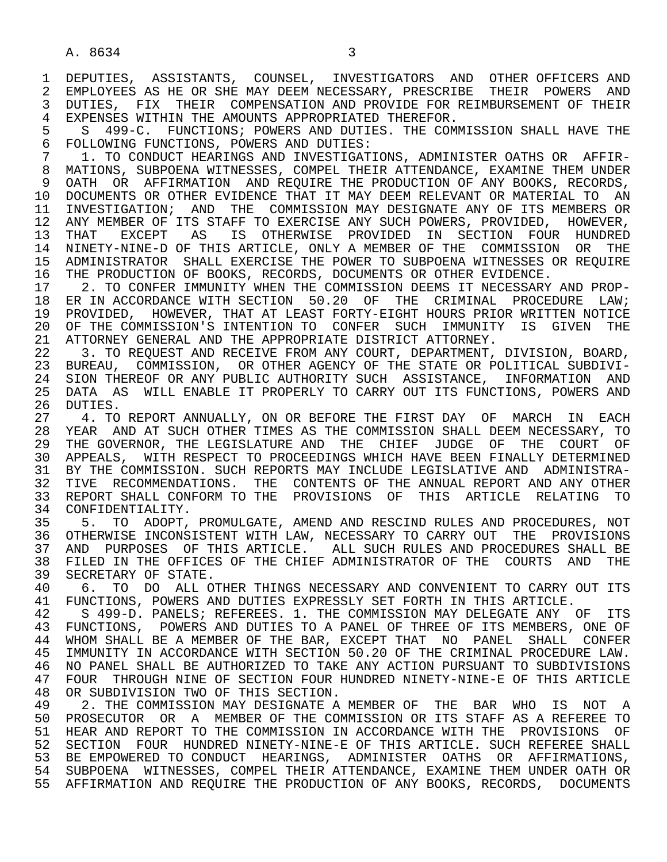1 DEPUTIES, ASSISTANTS, COUNSEL, INVESTIGATORS AND OTHER-OFFICERS AND 2 EMPLOYEES AS HE OR SHE MAY DEEM NECESSARY, PRESCRIBE THEIR POWERS AND 2 EMPLOYEES AS HE OR SHE MAY DEEM NECESSARY, PRESCRIBE THEIR POWERS AND<br>3 DUTIES, FIX THEIR COMPENSATION AND PROVIDE FOR REIMBURSEMENT OF THEIR 3 DUTIES, FIX THEIR COMPENSATION AND PROVIDE FOR REIMBURSEMENT OF THEIR 4 EXPENSES WITHIN THE AMOUNTS APPROPRIATED THEREFOR.<br>5 S 499-C. FUNCTIONS; POWERS AND DUTIES. THE COM

5 S 499-C. FUNCTIONS; POWERS AND DUTIES. THE COMMISSION SHALL HAVE THE 6 FOLLOWING FUNCTIONS, POWERS AND DUTIES: 6 FOLLOWING FUNCTIONS, POWERS AND DUTIES:<br>7 1. TO CONDUCT HEARINGS AND INVESTIGAT

1. TO CONDUCT HEARINGS AND INVESTIGATIONS, ADMINISTER OATHS OR AFFIR- 8 MATIONS, SUBPOENA WITNESSES, COMPEL THEIR ATTENDANCE, EXAMINE THEM UNDER 9 OATH OR AFFIRMATION AND REQUIRE THE PRODUCTION OF ANY BOOKS, RECORDS,<br>10 DOCUMENTS OR OTHER EVIDENCE THAT IT MAY DEEM RELEVANT OR MATERIAL TO AN 10 DOCUMENTS OR OTHER EVIDENCE THAT IT MAY DEEM RELEVANT OR MATERIAL TO AN 11 INVESTIGATION; AND THE COMMISSION MAY DESIGNATE ANY OF ITS MEMBERS OR 11 INVESTIGATION; AND THE COMMISSION MAY DESIGNATE ANY OF ITS MEMBERS OR<br>12 ANY MEMBER OF ITS STAFF TO EXERCISE ANY SUCH POWERS, PROVIDED, HOWEVER, 12 ANY MEMBER OF ITS STAFF TO EXERCISE ANY SUCH POWERS, PROVIDED, HOWEVER,<br>13 THAT EXCEPT AS IS OTHERWISE PROVIDED IN SECTION FOUR HUNDRED THAT EXCEPT AS IS OTHERWISE PROVIDED IN SECTION FOUR HUNDRED 14 NINETY-NINE-D OF THIS ARTICLE, ONLY A MEMBER OF THE COMMISSION OR THE 15 ADMINISTRATOR SHALL EXERCISE THE POWER TO SUBPOENA WITNESSES OR REQUIRE<br>16 THE PRODUCTION OF BOOKS, RECORDS, DOCUMENTS OR OTHER EVIDENCE. 16 THE PRODUCTION OF BOOKS, RECORDS, DOCUMENTS OR OTHER EVIDENCE.<br>17 2. TO CONFER IMMUNITY WHEN THE COMMISSION DEEMS IT NECESSARY

17 2. TO CONFER IMMUNITY WHEN THE COMMISSION DEEMS IT NECESSARY AND PROP-<br>18 ER IN ACCORDANCE WITH SECTION 50.20 OF THE CRIMINAL PROCEDURE LAW; 18 ER IN ACCORDANCE WITH SECTION 50.20 OF THE CRIMINAL PROCEDURE LAW;<br>19 PROVIDED, HOWEVER, THAT AT LEAST FORTY-EIGHT HOURS PRIOR WRITTEN NOTICE 19 PROVIDED, HOWEVER, THAT AT LEAST FORTY-EIGHT HOURS PRIOR WRITTEN NOTICE<br>20 OF THE COMMISSION'S INTENTION TO CONFER SUCH IMMUNITY IS GIVEN THE 20 OF THE COMMISSION'S INTENTION TO CONFER SUCH IMMUNITY IS GIVEN THE 21 ATTORNEY GENERAL AND THE APPROPRIATE DISTRICT ATTORNEY. 21 ATTORNEY GENERAL AND THE APPROPRIATE DISTRICT ATTORNEY.<br>22 3. TO REOUEST AND RECEIVE FROM ANY COURT, DEPARTMENT,

22 3. TO REQUEST AND RECEIVE FROM ANY COURT, DEPARTMENT, DIVISION, BOARD,<br>23 BUREAU, COMMISSION, OR OTHER AGENCY OF THE STATE OR POLITICAL SUBDIVI- 23 BUREAU, COMMISSION, OR OTHER AGENCY OF THE STATE OR POLITICAL SUBDIVI- 24 SION THEREOF OR ANY PUBLIC AUTHORITY SUCH ASSISTANCE, INFORMATION AND<br>25 DATA AS WILL ENABLE IT PROPERLY TO CARRY OUT ITS FUNCTIONS, POWERS AND 25 DATA AS WILL ENABLE IT PROPERLY TO CARRY OUT ITS FUNCTIONS, POWERS AND 26 DUTIES.<br>27 4. TO

27 TH. TO REPORT ANNUALLY, ON OR BEFORE THE FIRST DAY OF MARCH IN EACH<br>28 YEAR AND AT SUCH OTHER TIMES AS THE COMMISSION SHALL DEEM NECESSARY. TO 28 YEAR AND AT SUCH OTHER TIMES AS THE COMMISSION SHALL DEEM NECESSARY, TO<br>29 THE GOVERNOR, THE LEGISLATURE AND THE CHIEF JUDGE OF THE COURT OF THE GOVERNOR, THE LEGISLATURE AND THE CHIEF JUDGE OF THE COURT OF 30 APPEALS, WITH RESPECT TO PROCEEDINGS WHICH HAVE BEEN FINALLY DETERMINED<br>31 BY THE COMMISSION, SUCH REPORTS MAY INCLUDE LEGISLATIVE AND ADMINISTRA-31 BY THE COMMISSION. SUCH REPORTS MAY INCLUDE LEGISLATIVE AND ADMINISTRA-<br>32 TIVE RECOMMENDATIONS. THE CONTENTS OF THE ANNUAL REPORT AND ANY OTHER 32 TIVE RECOMMENDATIONS. THE CONTENTS OF THE ANNUAL REPORT AND ANY OTHER<br>33 REPORT SHALL CONFORM TO THE PROVISIONS OF THIS ARTICLE RELATING TO 33 REPORT SHALL CONFORM TO THE PROVISIONS OF THIS ARTICLE RELATING TO 34 CONFIDENTIALITY. 34 CONFIDENTIALITY.<br>35 5. TO ADOPT.

35 5. TO ADOPT, PROMULGATE, AMEND AND RESCIND RULES AND PROCEDURES, NOT<br>36 OTHERWISE INCONSISTENT WITH LAW, NECESSARY TO CARRY OUT THE PROVISIONS 36 OTHERWISE INCONSISTENT WITH LAW, NECESSARY TO CARRY OUT THE PROVISIONS 37 AND PURPOSES OF THIS ARTICLE. ALL SUCH RULES AND PROCEDURES SHALL BE<br>38 FILED IN THE OFFICES OF THE CHIEF ADMINISTRATOR OF THE COURTS AND THE 38 FILED IN THE OFFICES OF THE CHIEF ADMINISTRATOR OF THE COURTS AND THE 39 SECRETARY OF STATE. 39 SECRETARY OF STATE.<br>40 6. TO DO ALL O

40 6. TO DO ALL OTHER THINGS NECESSARY AND CONVENIENT TO CARRY OUT ITS 41 FUNCTIONS. POWERS AND DUTIES EXPRESSLY SET FORTH IN THIS ARTICLE. 41 FUNCTIONS, POWERS AND DUTIES EXPRESSLY SET FORTH IN THIS ARTICLE.<br>42 S 499-D. PANELS; REFEREES. 1. THE COMMISSION MAY DELEGATE ANY

42 S 499-D. PANELS; REFEREES. 1. THE COMMISSION MAY DELEGATE ANY OF ITS<br>43 FUNCTIONS. POWERS AND DUTIES TO A PANEL OF THREE OF ITS MEMBERS. ONE OF 43 FUNCTIONS, POWERS AND DUTIES TO A PANEL OF THREE OF ITS MEMBERS, ONE OF 44 WHOM SHALL CONFER 44 WHOM SHALL BE A MEMBER OF THE BAR, EXCEPT THAT NO PANEL SHALL CONFER<br>45 IMMUNITY IN ACCORDANCE WITH SECTION 50.20 OF THE CRIMINAL PROCEDURE LAW. IMMUNITY IN ACCORDANCE WITH SECTION 50.20 OF THE CRIMINAL PROCEDURE LAW. 46 NO PANEL SHALL BE AUTHORIZED TO TAKE ANY ACTION PURSUANT TO SUBDIVISIONS<br>47 FOUR THROUGH NINE OF SECTION FOUR HUNDRED NINETY-NINE-E OF THIS ARTICLE 47 FOUR THROUGH NINE OF SECTION FOUR HUNDRED NINETY-NINE-E OF THIS ARTICLE 48 OR SUBDIVISION TWO OF THIS SECTION. 48 OR SUBDIVISION TWO OF THIS SECTION.<br>49 2. THE COMMISSION MAY DESIGNATE A

49 2. THE COMMISSION MAY DESIGNATE A MEMBER OF THE BAR WHO IS NOT A<br>50 PROSECUTOR OR A MEMBER OF THE COMMISSION OR ITS STAFF AS A REFEREE TO 50 PROSECUTOR OR A MEMBER OF THE COMMISSION OR ITS STAFF AS A REFEREE TO<br>51 HEAR AND REPORT TO THE COMMISSION IN ACCORDANCE WITH THE PROVISIONS OF 51 HEAR AND REPORT TO THE COMMISSION IN ACCORDANCE WITH THE PROVISIONS OF 52 SECTION FOUR HUNDRED NINETY-NINE-E OF THIS ARTICLE. SUCH REFEREE SHALL 53 BE EMPOWERED TO CONDUCT HEARINGS, ADMINISTER OATHS OR AFFIRMATIONS, 54 SUBPOENA WITNESSES, COMPEL THEIR ATTENDANCE, EXAMINE THEM UNDER OATH OR 55 AFFIRMATION AND REQUIRE THE PRODUCTION OF ANY BOOKS, RECORDS, DOCUMENTS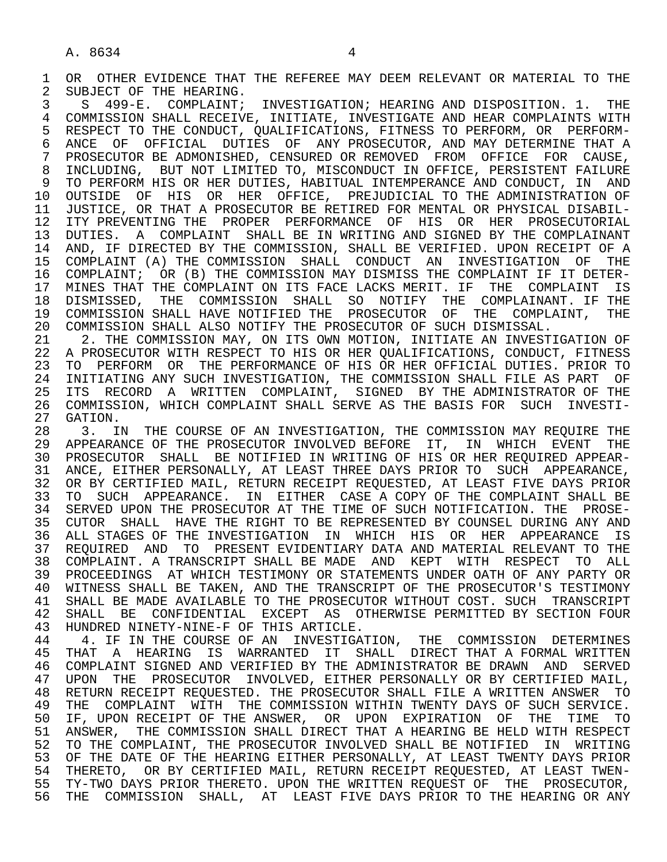1 OR OTHER EVIDENCE THAT THE REFEREE MAY DEEM RELEVANT OR MATERIAL TO THE 12 SUBJECT OF THE HEARING.

2 SUBJECT OF THE HEARING.<br>3 S 499-E. COMPLAINT; 3 S 499-E. COMPLAINT; INVESTIGATION; HEARING AND DISPOSITION. 1. THE 4 COMMISSION SHALL RECEIVE, INITIATE, INVESTIGATE AND HEAR COMPLAINTS WITH<br>5 RESPECT TO THE CONDUCT, OUALIFICATIONS, FITNESS TO PERFORM, OR PERFORM-5 RESPECT TO THE CONDUCT, QUALIFICATIONS, FITNESS TO PERFORM, OR PERFORM-<br>6 ANCE OF OFFICIAL DUTIES OF ANY PROSECUTOR, AND MAY DETERMINE THAT A 6 ANCE OF OFFICIAL DUTIES OF ANY PROSECUTOR, AND MAY DETERMINE THAT A<br>7 PROSECUTOR BE ADMONISHED, CENSURED OR REMOVED FROM OFFICE FOR CAUSE, 7 PROSECUTOR BE ADMONISHED, CENSURED OR REMOVED FROM OFFICE FOR CAUSE, 8 INCLUDING, BUT NOT LIMITED TO, MISCONDUCT IN OFFICE, PERSISTENT FAILURE<br>9 TO PERFORM HIS OR HER DUTIES, HABITUAL INTEMPERANCE AND CONDUCT, IN AND 9 TO PERFORM HIS OR HER DUTIES, HABITUAL INTEMPERANCE AND CONDUCT, IN AND<br>10 OUTSIDE OF HIS OR HER OFFICE, PREJUDICIAL TO THE ADMINISTRATION OF 10 OUTSIDE OF HIS OR HER OFFICE, PREJUDICIAL TO THE ADMINISTRATION OF 11 JUSTICE, OR THAT A PROSECUTOR BE RETIRED FOR MENTAL OR PHYSICAL DISABIL-11 JUSTICE, OR THAT A PROSECUTOR BE RETIRED FOR MENTAL OR PHYSICAL DISABIL-<br>12 ITY PREVENTING THE PROPER PERFORMANCE OF HIS OR HER PROSECUTORIAL 12 ITY PREVENTING THE PROPER PERFORMANCE OF HIS OR HER PROSECUTORIAL<br>13 DUTIES. A COMPLAINT SHALL BE IN WRITING AND SIGNED BY THE COMPLAINANT 13 DUTIES. A COMPLAINT SHALL BE IN WRITING AND SIGNED BY THE COMPLAINANT 14 AND. IF DIRECTED BY THE COMMISSION. SHALL BE VERIFIED, UPON RECEIPT OF A 14 AND, IF DIRECTED BY THE COMMISSION, SHALL BE VERIFIED. UPON RECEIPT OF A 15 COMPLAINT (A) THE COMMISSION SHALL CONDUCT AN INVESTIGATION OF THE 16 COMPLAINT; OR (B) THE COMMISSION MAY DISMISS THE COMPLAINT IF IT DETER- 17 MINES THAT THE COMPLAINT ON ITS FACE LACKS MERIT. IF THE COMPLAINT IS<br>18 DISMISSED, THE COMMISSION SHALL SO NOTIFY THE COMPLAINANT. IF THE 18 DISMISSED, THE COMMISSION SHALL SO NOTIFY THE COMPLAINANT. IF THE<br>19 COMMISSION-SHALL-HAVE-NOTIFIED-THE PROSECUTOR OF THE COMPLAINT, THE 19 COMMISSION SHALL HAVE NOTIFIED THE PROSECUTOR OF THE COMPLAINT, THE 20 COMMISSION SHALL ALSO NOTIFY THE PROSECUTOR OF SUCH DISMISSAL. 20 COMMISSION SHALL ALSO NOTIFY THE PROSECUTOR OF SUCH DISMISSAL.<br>21 2. THE COMMISSION MAY, ON ITS OWN MOTION, INITIATE AN INVEST

21 2. THE COMMISSION MAY, ON ITS OWN MOTION, INITIATE AN INVESTIGATION OF<br>22 A PROSECUTOR WITH RESPECT TO HIS OR HER OUALIFICATIONS, CONDUCT, FITNESS 22 A PROSECUTOR WITH RESPECT TO HIS OR HER QUALIFICATIONS, CONDUCT, FITNESS<br>23 TO PERFORM OR THE PERFORMANCE OF HIS OR HER OFFICIAL DUTIES. PRIOR TO 23 TO PERFORM OR THE PERFORMANCE OF HIS OR HER OFFICIAL DUTIES. PRIOR TO 24 INITIATING ANY SUCH INVESTIGATION, THE COMMISSION SHALL FILE AS PART OF 24 INITIATING ANY SUCH INVESTIGATION, THE COMMISSION SHALL FILE AS PART OF<br>25 ITS RECORD A WRITTEN COMPLAINT, SIGNED BY THE ADMINISTRATOR OF THE 25 ITS RECORD A WRITTEN COMPLAINT, SIGNED BY THE ADMINISTRATOR OF THE 26 COMMISSION, WHICH COMPLAINT SHALL SERVE AS THE BASIS FOR SUCH INVESTI- 27 GATION.<br>28 3. I

28 3. IN THE COURSE OF AN INVESTIGATION, THE COMMISSION MAY REQUIRE THE 29 APPEARANCE OF THE PROSECUTOR INVOLVED BEFORE IT, IN WHICH EVENT THE 29 APPEARANCE OF THE PROSECUTOR INVOLVED BEFORE IT, IN WHICH EVENT THE 30 PROSECUTOR SHALL BE NOTIFIED IN WRITING OF HIS OR HER REOUIRED APPEAR-30 PROSECUTOR SHALL BE NOTIFIED IN WRITING OF HIS OR HER REQUIRED APPEAR-<br>31 ANCE, EITHER PERSONALLY, AT LEAST THREE DAYS PRIOR TO SUCH APPEARANCE, 31 ANCE, EITHER PERSONALLY, AT LEAST THREE DAYS PRIOR TO SUCH APPEARANCE,<br>32 OR BY CERTIFIED MAIL, RETURN RECEIPT REOUESTED, AT LEAST FIVE DAYS PRIOR 32 OR BY CERTIFIED MAIL, RETURN RECEIPT REQUESTED, AT LEAST FIVE DAYS PRIOR<br>33 TO SUCH APPEARANCE. IN EITHER CASE A COPY OF THE COMPLAINT SHALL BE 33 TO SUCH APPEARANCE. IN EITHER CASE A COPY OF THE COMPLAINT SHALL BE 34 SERVED UPON THE PROSE-34 SERVED UPON THE PROSECUTOR AT THE TIME OF SUCH NOTIFICATION. THE PROSE-<br>35 CUTOR SHALL HAVE THE RIGHT TO BE REPRESENTED BY COUNSEL DURING ANY AND 35 CUTOR SHALL HAVE THE RIGHT TO BE REPRESENTED BY COUNSEL DURING ANY AND 36 ALL STAGES OF THE INVESTIGATION IN WHICH HIS OR HER APPEARANCE IS 37 REQUIRED AND TO PRESENT EVIDENTIARY DATA AND MATERIAL RELEVANT TO THE 38 COMPLAINT. A TRANSCRIPT SHALL BE MADE AND KEPT WITH RESPECT TO ALL<br>39 PROCEEDINGS AT WHICH TESTIMONY OR STATEMENTS UNDER OATH OF ANY PARTY OR 39 PROCEEDINGS AT WHICH TESTIMONY OR STATEMENTS UNDER OATH OF ANY PARTY OR 40 WITNESS SHALL BE TAKEN, AND THE TRANSCRIPT OF THE PROSECUTOR'S TESTIMONY<br>41 SHALL BE MADE AVAILABLE TO THE PROSECUTOR WITHOUT COST. SUCH TRANSCRIPT 41 SHALL BE MADE AVAILABLE TO THE PROSECUTOR WITHOUT COST. SUCH TRANSCRIPT<br>42 SHALL BE CONFIDENTIAL EXCEPT AS OTHERWISE PERMITTED BY SECTION FOUR 42 SHALL BE CONFIDENTIAL EXCEPT AS OTHERWISE PERMITTED BY SECTION FOUR<br>43 HUNDRED NINETY-NINE-F OF THIS ARTICLE. 43 HUNDRED NINETY-NINE-F OF THIS ARTICLE.<br>44 4. IF IN THE COURSE OF AN INVESTIGAT

44 4. IF IN THE COURSE OF AN INVESTIGATION, THE COMMISSION DETERMINES<br>45 THAT A HEARING IS WARRANTED IT SHALL DIRECT THAT A FORMAL WRITTEN THAT A HEARING IS WARRANTED IT SHALL DIRECT THAT A FORMAL WRITTEN 46 COMPLAINT SIGNED AND VERIFIED BY THE ADMINISTRATOR BE DRAWN AND SERVED<br>47 UPON THE PROSECUTOR INVOLVED, EITHER PERSONALLY OR BY CERTIFIED MAIL, 47 UPON THE PROSECUTOR INVOLVED, EITHER PERSONALLY OR BY CERTIFIED MAIL,<br>48 RETURN RECEIPT REOUESTED. THE PROSECUTOR SHALL FILE A WRITTEN ANSWER TO 48 RETURN RECEIPT REQUESTED. THE PROSECUTOR SHALL FILE A WRITTEN ANSWER TO<br>49 THE COMPLAINT WITH THE COMMISSION WITHIN TWENTY DAYS OF SUCH SERVICE. 49 THE COMPLAINT WITH THE COMMISSION WITHIN TWENTY DAYS OF SUCH SERVICE.<br>50 IF, UPON RECEIPT OF THE ANSWER, OR UPON EXPIRATION OF THE TIME TO 50 IF, UPON RECEIPT OF THE ANSWER, OR UPON EXPIRATION OF THE TIME TO<br>51 ANSWER, THE COMMISSION SHALL DIRECT THAT A HEARING BE HELD WITH RESPECT 51 ANSWER, THE COMMISSION SHALL DIRECT THAT A HEARING BE HELD WITH RESPECT<br>52 TO THE COMPLAINT, THE PROSECUTOR INVOLVED SHALL BE NOTIFIED IN WRITING 52 TO THE COMPLAINT, THE PROSECUTOR INVOLVED SHALL BE NOTIFIED IN WRITING<br>53 OF THE DATE OF THE HEARING EITHER PERSONALLY, AT LEAST TWENTY DAYS PRIOR 53 OF THE DATE OF THE HEARING EITHER PERSONALLY, AT LEAST TWENTY DAYS PRIOR<br>54 THERETO, OR BY CERTIFIED MAIL, RETURN RECEIPT REOUESTED, AT LEAST TWEN-54 THERETO, OR BY CERTIFIED MAIL, RETURN RECEIPT REQUESTED, AT LEAST TWEN-<br>55 TY-TWO DAYS PRIOR THERETO, UPON THE WRITTEN REOUEST OF THE PROSECUTOR, 55 TY-TWO DAYS PRIOR THERETO. UPON THE WRITTEN REQUEST OF THE PROSECUTOR,<br>56 THE COMMISSION SHALL, AT LEAST FIVE DAYS PRIOR TO THE HEARING OR ANY THE COMMISSION SHALL, AT LEAST FIVE DAYS PRIOR TO THE HEARING OR ANY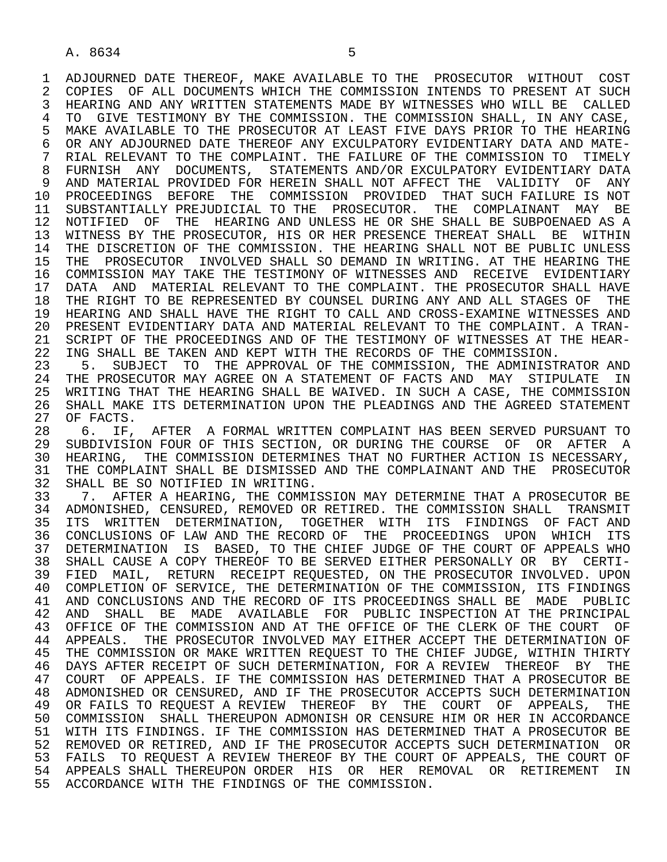1 ADJOURNED DATE THEREOF, MAKE AVAILABLE TO THE PROSECUTOR WITHOUT COST<br>2 COPIES OF ALL DOCUMENTS WHICH THE COMMISSION INTENDS TO PRESENT AT SUCH 2 COPIES OF ALL DOCUMENTS WHICH THE COMMISSION INTENDS TO PRESENT AT SUCH<br>3 HEARING AND ANY WRITTEN STATEMENTS MADE BY WITNESSES WHO WILL BE CALLED 3 HEARING AND ANY WRITTEN STATEMENTS MADE BY WITNESSES WHO WILL BE CALLED 4 TO GIVE TESTIMONY BY THE COMMISSION. THE COMMISSION SHALL, IN ANY CASE,<br>5 MAKE AVAILABLE TO THE PROSECUTOR AT LEAST FIVE DAYS PRIOR TO THE HEARING 5 MAKE AVAILABLE TO THE PROSECUTOR AT LEAST FIVE DAYS PRIOR TO THE HEARING<br>6 OR ANY ADJOURNED DATE THEREOF ANY EXCULPATORY EVIDENTIARY DATA AND MATE-6 OR ANY ADJOURNED DATE THEREOF ANY EXCULPATORY EVIDENTIARY DATA AND MATE-<br>7 RIAL RELEVANT TO THE COMPLAINT. THE FAILURE OF THE COMMISSION TO TIMELY 7 RIAL RELEVANT TO THE COMPLAINT. THE FAILURE OF THE COMMISSION TO TIMELY 8 FURNISH ANY DOCUMENTS, STATEMENTS AND/OR EXCULPATORY EVIDENTIARY DATA<br>9 AND MATERIAL PROVIDED FOR HEREIN SHALL NOT AFFECT THE VALIDITY OF ANY 9 AND MATERIAL PROVIDED FOR HEREIN SHALL NOT AFFECT THE VALIDITY OF ANY<br>10 PROCEEDINGS BEFORE THE COMMISSION PROVIDED THAT SUCH FAILURE IS NOT 10 PROCEEDINGS BEFORE THE COMMISSION PROVIDED THAT-SUCH-FAILURE IS NOT<br>11 SUBSTANTIALLY PREJUDICIAL TO THE PROSECUTOR, THE COMPLAINANT MAY BE 11 SUBSTANTIALLY PREJUDICIAL TO THE PROSECUTOR. THE COMPLAINANT MAY BE<br>12 NOTIFIED OF THE HEARING AND UNLESS HE OR SHE SHALL BE SUBPOENAED AS A 12 NOTIFIED OF THE HEARING AND UNLESS HE OR SHE SHALL BE SUBPOENAED AS A<br>13 WITNESS BY THE PROSECUTOR, HIS OR HER PRESENCE THEREAT SHALL BE WITHIN 13 WITNESS BY THE PROSECUTOR, HIS OR HER PRESENCE THEREAT SHALL BE WITHIN<br>14 THE DISCRETION OF THE COMMISSION, THE HEARING SHALL NOT BE PUBLIC UNLESS THE DISCRETION OF THE COMMISSION. THE HEARING SHALL NOT BE PUBLIC UNLESS 15 THE PROSECUTOR INVOLVED SHALL SO DEMAND IN WRITING. AT THE HEARING THE<br>16 COMMISSION MAY TAKE THE TESTIMONY OF WITNESSES AND RECEIVE EVIDENTIARY 16 COMMISSION MAY TAKE THE TESTIMONY OF WITNESSES AND RECEIVE EVIDENTIARY<br>17 DATA AND MATERIAL RELEVANT TO THE COMPLAINT. THE PROSECUTOR SHALL HAVE 17 DATA AND MATERIAL RELEVANT TO THE COMPLAINT. THE PROSECUTOR SHALL HAVE<br>18 THE RIGHT TO BE REPRESENTED BY COUNSEL DURING ANY AND ALL STAGES OF THE 18 THE RIGHT TO BE REPRESENTED BY COUNSEL DURING ANY AND ALL STAGES OF THE 19 HEARING AND SHALL HAVE THE RIGHT TO CALL AND CROSS-EXAMINE WITNESSES AND 19 HEARING AND SHALL HAVE THE RIGHT TO CALL AND CROSS-EXAMINE WITNESSES AND<br>20 PRESENT EVIDENTIARY DATA AND MATERIAL RELEVANT TO THE COMPLAINT. A TRAN-20 PRESENT EVIDENTIARY DATA AND MATERIAL RELEVANT TO THE COMPLAINT. A TRAN-<br>21 SCRIPT OF THE PROCEEDINGS AND OF THE TESTIMONY OF WITNESSES AT THE HEAR-21 SCRIPT OF THE PROCEEDINGS AND OF THE TESTIMONY OF WITNESSES AT THE HEAR-<br>22 ING SHALL BE TAKEN AND KEPT WITH THE RECORDS OF THE COMMISSION. 22 ING SHALL BE TAKEN AND KEPT WITH THE RECORDS OF THE COMMISSION.<br>23 5. SUBJECT TO THE APPROVAL OF THE COMMISSION, THE ADMINIST

23 5. SUBJECT TO THE APPROVAL OF THE COMMISSION, THE ADMINISTRATOR AND 24 THE PROSECUTOR MAY AGREE ON A STATEMENT OF FACTS AND MAY STIPULATE IN 24 THE PROSECUTOR MAY AGREE ON A STATEMENT OF FACTS AND MAY STIPULATE IN<br>25 WRITING THAT THE HEARING SHALL BE WAIVED. IN SUCH A CASE, THE COMMISSION 25 WRITING THAT THE HEARING SHALL BE WAIVED. IN SUCH A CASE, THE COMMISSION 26 SHALL MAKE ITS DETERMINATION UPON THE PLEADINGS AND THE AGREED STATEMENT 27 OF FACTS. 27 OF FACTS.<br>28 6. IF.

28 6. IF, AFTER A FORMAL WRITTEN COMPLAINT HAS BEEN SERVED PURSUANT TO<br>29 SUBDIVISION FOUR OF THIS SECTION, OR DURING THE COURSE OF OR AFTER A 29 SUBDIVISION FOUR OF THIS SECTION, OR DURING THE COURSE OF OR AFTER A<br>30 HEARING, THE COMMISSION DETERMINES THAT NO FURTHER ACTION IS NECESSARY. 30 HEARING, THE COMMISSION DETERMINES THAT NO FURTHER ACTION IS NECESSARY,<br>31 THE COMPLAINT SHALL BE DISMISSED AND THE COMPLAINANT AND THE PROSECUTOR 31 THE COMPLAINT SHALL BE DISMISSED AND THE COMPLAINANT AND THE PROSECUTOR<br>32 SHALL BE SO NOTIFIED IN WRITING. 32 SHALL BE SO NOTIFIED IN WRITING.<br>33 7. AFTER A HEARING, THE COMMI

33 5. 7. AFTER A HEARING, THE COMMISSION MAY DETERMINE THAT A PROSECUTOR BE 34 ADMONISHED, CENSURED, REMOVED OR RETIRED. THE COMMISSION SHALL TRANSMIT 34 ADMONISHED, CENSURED, REMOVED OR RETIRED. THE COMMISSION SHALL TRANSMIT<br>35 ITS WRITTEN DETERMINATION, TOGETHER WITH ITS FINDINGS OF FACT AND 35 ITS WRITTEN DETERMINATION, TOGETHER WITH ITS FINDINGS OF FACT AND<br>36 CONCLUSIONS OF LAW AND THE RECORD OF THE PROCEEDINGS UPON WHICH ITS 36 CONCLUSIONS OF LAW AND THE RECORD OF THE PROCEEDINGS UPON WHICH ITS 37 DETERMINATION IS BASED, TO THE CHIEF JUDGE OF THE COURT OF APPEALS WHO<br>38 SHALL CAUSE A COPY THEREOF TO BE SERVED EITHER PERSONALLY OR BY CERTI-38 SHALL CAUSE A COPY THEREOF TO BE SERVED EITHER PERSONALLY OR BY CERTI-<br>39 FIED MAIL, RETURN RECEIPT REOUESTED, ON THE PROSECUTOR INVOLVED, UPON 39 FIED MAIL, RETURN RECEIPT REQUESTED, ON THE PROSECUTOR INVOLVED. UPON<br>40 COMPLETION OF SERVICE, THE DETERMINATION OF THE COMMISSION, ITS FINDINGS 40 COMPLETION OF SERVICE, THE DETERMINATION OF THE COMMISSION, ITS FINDINGS<br>41 AND CONCLUSIONS AND THE RECORD OF ITS PROCEEDINGS SHALL BE MADE PUBLIC 41 AND CONCLUSIONS AND THE RECORD OF ITS PROCEEDINGS SHALL BE MADE PUBLIC<br>42 AND SHALL BE MADE AVAILABLE FOR PUBLIC INSPECTION AT THE PRINCIPAL 42 AND SHALL BE MADE AVAILABLE FOR PUBLIC INSPECTION AT THE PRINCIPAL<br>43 OFFICE OF THE COMMISSION AND AT THE OFFICE OF THE CLERK OF THE COURT OF 43 OFFICE OF THE COMMISSION AND AT THE OFFICE OF THE CLERK OF THE COURT OF<br>44 APPEALS. THE PROSECUTOR INVOLVED MAY EITHER ACCEPT THE DETERMINATION OF 44 APPEALS. THE PROSECUTOR INVOLVED MAY EITHER ACCEPT THE DETERMINATION OF<br>45 THE COMMISSION OR MAKE WRITTEN REOUEST TO THE CHIEF JUDGE, WITHIN THIRTY THE COMMISSION OR MAKE WRITTEN REOUEST TO THE CHIEF JUDGE, WITHIN THIRTY 46 DAYS AFTER RECEIPT OF SUCH DETERMINATION, FOR A REVIEW THEREOF BY THE<br>47 COURT OF APPEALS. IF THE COMMISSION HAS DETERMINED THAT A PROSECUTOR BE 47 COURT OF APPEALS. IF THE COMMISSION HAS DETERMINED THAT A PROSECUTOR BE 48 ADMONISHED OR CENSURED, AND IF THE PROSECUTOR ACCEPTS SUCH DETERMINATION 48 ADMONISHED OR CENSURED, AND IF THE PROSECUTOR ACCEPTS SUCH DETERMINATION<br>49 OR FAILS TO REOUEST A REVIEW THEREOF BY THE COURT OF APPEALS, THE 49 OR FAILS TO REQUEST A REVIEW THEREOF BY THE COURT OF APPEALS, THE<br>50 COMMISSION SHALL THEREUPON ADMONISH OR CENSURE HIM OR HER IN ACCORDANCE 50 COMMISSION SHALL THEREUPON ADMONISH OR CENSURE HIM OR HER IN ACCORDANCE<br>51 WITH ITS FINDINGS. IF THE COMMISSION HAS DETERMINED THAT A PROSECUTOR BE 51 WITH ITS FINDINGS. IF THE COMMISSION HAS DETERMINED THAT A PROSECUTOR BE 52 REMOVED OR RETIRED, AND IF THE PROSECUTOR ACCEPTS SUCH DETERMINATION OR<br>53 FAILS TO REOUEST A REVIEW THEREOF BY THE COURT OF APPEALS. THE COURT OF 53 FAILS TO REQUEST A REVIEW THEREOF BY THE COURT OF APPEALS, THE COURT OF<br>54 APPEALS SHALL THEREUPON ORDER HIS OR HER REMOVAL OR RETIREMENT IN APPEALS SHALL THEREUPON ORDER HIS OR HER REMOVAL OR RETIREMENT 55 ACCORDANCE WITH THE FINDINGS OF THE COMMISSION.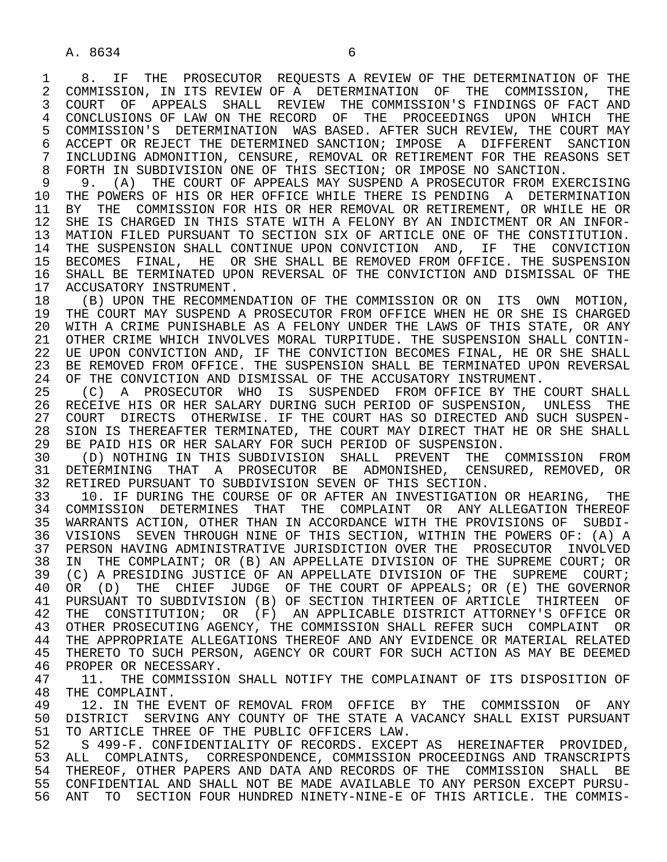A. 8634 6

1 8. IF THE PROSECUTOR REQUESTS A REVIEW OF THE DETERMINATION OF THE 2 COMMISSION. THE 2 COMMISSION, IN ITS REVIEW OF A DETERMINATION OF THE COMMISSION, THE<br>3 COURT OF APPEALS SHALL REVIEW THE COMMISSION'S FINDINGS OF FACT AND 3 COURT OF APPEALS SHALL REVIEW THE COMMISSION'S FINDINGS OF FACT AND 4 CONCLUSIONS OF LAW ON THE RECORD OF THE PROCEEDINGS UPON WHICH THE<br>5 COMMISSION'S DETERMINATION WAS BASED. AFTER SUCH REVIEW, THE COURT MAY 5 COMMISSION'S DETERMINATION WAS BASED. AFTER SUCH REVIEW, THE COURT MAY<br>6 ACCEPT OR REJECT THE DETERMINED SANCTION; IMPOSE A DIFFERENT SANCTION 6 ACCEPT OR REJECT THE DETERMINED SANCTION; IMPOSE A DIFFERENT SANCTION<br>7 INCLUDING ADMONITION, CENSURE, REMOVAL OR RETIREMENT FOR THE REASONS SET 7 INCLUDING ADMONITION, CENSURE, REMOVAL OR RETIREMENT FOR THE REASONS SET<br>8 FORTH IN SURDIVISION ONE OF THIS SECTION; OR IMPOSE NO SANCTION. 8 FORTH IN SUBDIVISION ONE OF THIS SECTION; OR IMPOSE NO SANCTION.<br>9 9. (A) THE COURT OF APPEALS MAY SUSPEND A PROSECUTOR FROM EXP

9 9. (A) THE COURT OF APPEALS MAY SUSPEND A PROSECUTOR FROM EXERCISING<br>10 THE POWERS OF HIS OR HER OFFICE WHILE THERE IS PENDING A DETERMINATION 10 THE POWERS OF HIS OR HER OFFICE WHILE THERE IS PENDING A DETERMINATION<br>11 BY THE COMMISSION FOR HIS OR HER REMOVAL OR RETIREMENT, OR WHILE HE OR 11 BY THE COMMISSION FOR HIS OR HER REMOVAL OR RETIREMENT, OR WHILE HE OR<br>12 SHE IS CHARGED IN THIS STATE WITH A FELONY BY AN INDICTMENT OR AN INFOR-12 SHE IS CHARGED IN THIS STATE WITH A FELONY BY AN INDICTMENT OR AN INFOR-<br>13 MATION FILED PURSUANT TO SECTION SIX OF ARTICLE ONE OF THE CONSTITUTION. 13 MATION FILED PURSUANT TO SECTION SIX OF ARTICLE ONE OF THE CONSTITUTION.<br>14 THE SUSPENSION SHALL CONTINUE UPON CONVICTION AND. IF THE CONVICTION THE SUSPENSION SHALL CONTINUE UPON CONVICTION AND, IF THE CONVICTION 15 BECOMES FINAL, HE OR SHE SHALL BE REMOVED FROM OFFICE. THE SUSPENSION<br>16 SHALL BE TERMINATED UPON REVERSAL OF THE CONVICTION AND DISMISSAL OF THE 16 SHALL BE TERMINATED UPON REVERSAL OF THE CONVICTION AND DISMISSAL OF THE 17 ACCUSATORY INSTRUMENT. 17 ACCUSATORY INSTRUMENT.<br>18 (B) UPON THE RECOMME

18 (B) UPON THE RECOMMENDATION OF THE COMMISSION OR ON ITS OWN MOTION,<br>19 THE COURT MAY SUSPEND A PROSECUTOR FROM OFFICE WHEN HE OR SHE IS CHARGED 19 THE COURT MAY SUSPEND A PROSECUTOR FROM OFFICE WHEN HE OR SHE IS CHARGED<br>20 WITH A CRIME PUNISHABLE AS A FELONY UNDER THE LAWS OF THIS STATE, OR ANY 20 WITH A CRIME PUNISHABLE AS A FELONY UNDER THE LAWS OF THIS STATE, OR ANY<br>21 OTHER CRIME WHICH INVOLVES MORAL TURPITUDE. THE SUSPENSION SHALL CONTIN-21 OTHER CRIME WHICH INVOLVES MORAL TURPITUDE. THE SUSPENSION SHALL CONTIN-<br>22 UE UPON CONVICTION AND, IF THE CONVICTION BECOMES FINAL, HE OR SHE SHALL 22 UE UPON CONVICTION AND, IF THE CONVICTION BECOMES FINAL, HE OR SHE SHALL<br>23 BE REMOVED FROM OFFICE. THE SUSPENSION SHALL BE TERMINATED UPON REVERSAL 23 BE REMOVED FROM OFFICE. THE SUSPENSION SHALL BE TERMINATED UPON REVERSAL<br>24 OF THE CONVICTION AND DISMISSAL OF THE ACCUSATORY INSTRUMENT. 24 OF THE CONVICTION AND DISMISSAL OF THE ACCUSATORY INSTRUMENT.<br>25 (C) A PROSECUTOR WHO IS SUSPENDED FROM OFFICE BY THE

 25 (C) A PROSECUTOR WHO IS SUSPENDED FROM OFFICE BY THE COURT SHALL 26 RECEIVE HIS OR HER SALARY DURING SUCH PERIOD OF SUSPENSION, UNLESS THE<br>27 COURT DIRECTS OTHERWISE. IF THE COURT HAS SO DIRECTED AND SUCH SUSPEN-27 COURT DIRECTS OTHERWISE. IF THE COURT HAS SO DIRECTED AND SUCH SUSPEN-<br>28 SION IS THEREAFTER TERMINATED, THE COURT MAY DIRECT THAT HE OR SHE SHALL 28 SION IS THEREAFTER TERMINATED, THE COURT MAY DIRECT THAT HE OR SHE SHALL<br>29 BE PAID HIS OR HER SALARY FOR SUCH PERIOD OF SUSPENSION. 29 BE PAID HIS OR HER SALARY FOR SUCH PERIOD OF SUSPENSION.<br>30 (D) NOTHING IN THIS SUBDIVISION SHALL PREVENT THE

30 (D) NOTHING IN THIS SUBDIVISION SHALL PREVENT THE COMMISSION FROM<br>31 DETERMINING THAT A PROSECUTOR BE ADMONISHED, CENSURED, REMOVED, OR 31 DETERMINING THAT A PROSECUTOR BE ADMONISHED, CENSURED, REMOVED, OR<br>32 RETIRED PURSUANT TO SUBDIVISION SEVEN OF THIS SECTION. 32 RETIRED PURSUANT TO SUBDIVISION SEVEN OF THIS SECTION.<br>33 10. IF DURING THE COURSE OF OR AFTER AN INVESTIGATIO

 33 10. IF DURING THE COURSE OF OR AFTER AN INVESTIGATION OR HEARING, THE 34 COMMISSION DETERMINES THAT THE COMPLAINT OR ANY-ALLEGATION-THEREOF<br>35 WARRANTS ACTION, OTHER THAN IN ACCORDANCE WITH THE PROVISIONS OF SUBDI-35 WARRANTS ACTION, OTHER THAN IN ACCORDANCE WITH THE PROVISIONS OF SUBDI-<br>36 VISIONS SEVEN THROUGH NINE OF THIS SECTION, WITHIN THE POWERS OF: (A) A 36 VISIONS SEVEN THROUGH NINE OF THIS SECTION, WITHIN THE POWERS OF: (A) A 37 PERSON HAVING ADMINISTRATIVE JURISDICTION OVER THE PROSECUTOR INVOLVED<br>38 IN THE COMPLAINT; OR (B) AN APPELLATE DIVISION OF THE SUPREME COURT; OR 38 IN THE COMPLAINT; OR (B) AN APPELLATE DIVISION OF THE SUPREME COURT; OR<br>39 (C) A PRESIDING JUSTICE OF AN APPELLATE DIVISION OF THE SUPREME COURT; 39 (C) A PRESIDING JUSTICE OF AN APPELLATE DIVISION OF THE SUPREME COURT;<br>40 OR (D) THE CHIEF JUDGE OF THE COURT OF APPEALS; OR (E) THE GOVERNOR 40 OR (D) THE CHIEF JUDGE OF THE COURT OF APPEALS; OR (E) THE GOVERNOR<br>41 PURSUANT TO SUBDIVISION (B) OF SECTION THIRTEEN OF ARTICLE THIRTEEN OF 41 PURSUANT TO SUBDIVISION (B) OF SECTION THIRTEEN OF ARTICLE THIRTEEN OF 42 THE CONSTITUTION; OR (F) AN APPLICABLE DISTRICT ATTORNEY'S OFFICE OR 42 THE CONSTITUTION; OR (F) AN APPLICABLE DISTRICT ATTORNEY'S OFFICE OR<br>43 OTHER PROSECUTING AGENCY, THE COMMISSION SHALL REFER SUCH COMPLAINT OR 43 OTHER PROSECUTING AGENCY, THE COMMISSION SHALL REFER SUCH COMPLAINT OR<br>44 THE APPROPRIATE ALLEGATIONS THEREOF AND ANY EVIDENCE OR MATERIAL RELATED 44 THE APPROPRIATE ALLEGATIONS THEREOF AND ANY EVIDENCE OR MATERIAL RELATED<br>45 THERETO TO SUCH PERSON, AGENCY OR COURT FOR SUCH ACTION AS MAY BE DEEMED THERETO TO SUCH PERSON, AGENCY OR COURT FOR SUCH ACTION AS MAY BE DEEMED

46 PROPER OR NECESSARY.<br>47 11. THE COMMISSIO 47 11. THE COMMISSION SHALL NOTIFY THE COMPLAINANT OF ITS DISPOSITION OF 48 THE COMPLAINT.

48 THE COMPLAINT.<br>49 12. IN THE E 49 12. IN THE EVENT OF REMOVAL FROM OFFICE BY THE COMMISSION OF ANY<br>50 DISTRICT SERVING ANY COUNTY OF THE STATE A VACANCY SHALL EXIST PURSUANT 50 DISTRICT SERVING ANY COUNTY OF THE STATE A VACANCY SHALL EXIST PURSUANT<br>51 TO ARTICLE THREE OF THE PUBLIC OFFICERS LAW. 51 TO ARTICLE THREE OF THE PUBLIC OFFICERS LAW.<br>52 S 499-F. CONFIDENTIALITY OF RECORDS. EXCEPT

52 S 499-F. CONFIDENTIALITY OF RECORDS. EXCEPT AS HEREINAFTER PROVIDED,<br>53 ALL COMPLAINTS, CORRESPONDENCE, COMMISSION PROCEEDINGS AND TRANSCRIPTS 53 ALL COMPLAINTS, CORRESPONDENCE, COMMISSION PROCEEDINGS AND TRANSCRIPTS<br>54 THEREOF, OTHER PAPERS AND DATA AND RECORDS OF THE COMMISSION SHALL BE 54 THEREOF, OTHER PAPERS AND DATA AND RECORDS OF THE COMMISSION SHALL BE<br>55 CONFIDENTIAL AND SHALL NOT BE MADE AVAILABLE TO ANY PERSON EXCEPT PURSU-55 CONFIDENTIAL AND SHALL NOT BE MADE AVAILABLE TO ANY PERSON EXCEPT PURSU-<br>56 ANT TO SECTION FOUR HUNDRED NINETY-NINE-E OF THIS ARTICLE. THE COMMIS-ANT TO SECTION FOUR HUNDRED NINETY-NINE-E OF THIS ARTICLE. THE COMMIS-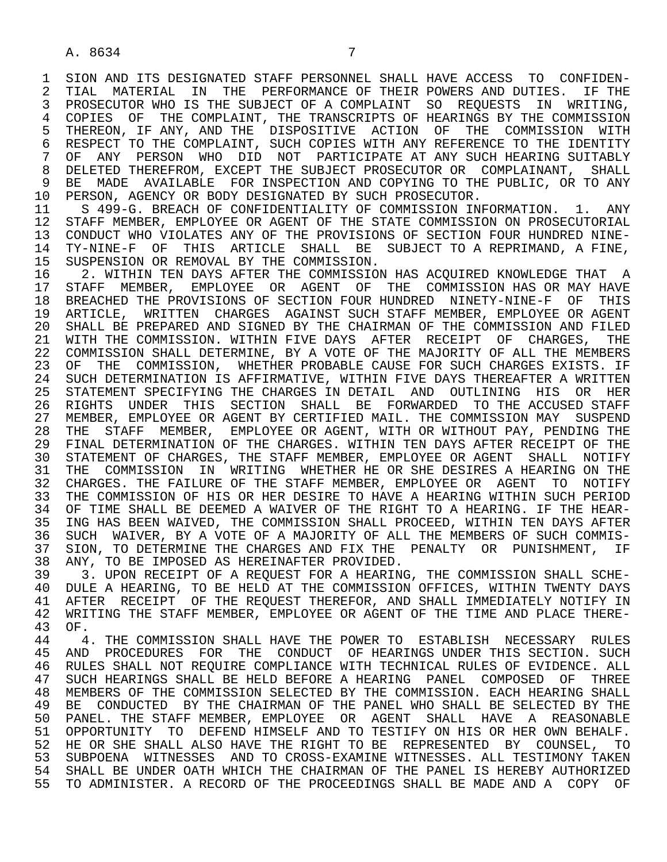1 SION AND ITS DESIGNATED STAFF PERSONNEL SHALL HAVE ACCESS TO CONFIDEN-<br>2 TIAL MATERIAL IN THE PERFORMANCE OF THEIR POWERS AND DUTIES. IF THE 2 TIAL MATERIAL IN THE PERFORMANCE OF THEIR POWERS AND DUTIES. IF THE 1999 SERIES IN THE SUBJECT OF A COMPLAINT SO REOUESTS IN WRITING. PROSECUTOR WHO IS THE SUBJECT OF A COMPLAINT SO REOUESTS IN WRITING, 4 COPIES OF THE COMPLAINT, THE TRANSCRIPTS OF HEARINGS BY THE COMMISSION<br>5 THEREON, IF ANY, AND THE DISPOSITIVE ACTION OF THE COMMISSION WITH 5 THEREON, IF ANY, AND THE DISPOSITIVE ACTION OF THE COMMISSION WITH<br>6 RESPECT TO THE COMPLAINT, SUCH COPIES WITH ANY REFERENCE TO THE IDENTITY 6 RESPECT TO THE COMPLAINT, SUCH COPIES WITH ANY REFERENCE TO THE IDENTITY 6 ANY PERSON WHO DID NOT PARTICIPATE AT ANY SUCH HEARING SUITABLY 7 OF ANY PERSON WHO DID NOT PARTICIPATE AT ANY SUCH HEARING SUITABLY 8 DELETED THEREFROM, EXCEPT THE SUBJECT PROSECUTOR OR COMPLAINANT, SHALL<br>9 BE MADE AVAILABLE FOR INSPECTION AND COPYING TO THE PUBLIC, OR TO ANY 9 BE MADE AVAILABLE FOR INSPECTION AND COPYING TO THE PUBLIC, OR TO ANY 10 PERSON, AGENCY OR BODY DESIGNATED BY SUCH PROSECUTOR.

10 PERSON, AGENCY OR BODY DESIGNATED BY SUCH PROSECUTOR.<br>11 S 499-G. BREACH OF CONFIDENTIALITY OF COMMISSION IN 11 S 499-G. BREACH OF CONFIDENTIALITY OF COMMISSION INFORMATION. 1. ANY<br>12 STAFF MEMBER, EMPLOYEE OR AGENT OF THE STATE COMMISSION ON PROSECUTORIAL 12 STAFF MEMBER, EMPLOYEE OR AGENT OF THE STATE COMMISSION ON PROSECUTORIAL<br>13 CONDUCT WHO VIOLATES ANY OF THE PROVISIONS OF SECTION FOUR HUNDRED NINE-13 CONDUCT WHO VIOLATES ANY OF THE PROVISIONS OF SECTION FOUR HUNDRED NINE-<br>14 TY-NINE-F. OF THIS ARTICLE, SHALL, BE, SUBJECT TO A REPRIMAND, A FINE, 14 TY-NINE-F OF THIS ARTICLE SHALL BE SUBJECT TO A REPRIMAND, A FINE,<br>15 SUSPENSION OR REMOVAL BY THE COMMISSION.

15 SUSPENSION OR REMOVAL BY THE COMMISSION.<br>16 2. WITHIN TEN DAYS AFTER THE COMMISSIO 16 12. WITHIN TEN DAYS AFTER THE COMMISSION HAS ACQUIRED KNOWLEDGE THAT A<br>17 STAFF MEMBER, EMPLOYEE OR AGENT OF THE COMMISSION HAS OR MAY HAVE 17 STAFF MEMBER, EMPLOYEE OR AGENT OF THE COMMISSION HAS OR MAY HAVE<br>18 BREACHED THE PROVISIONS OF SECTION FOUR HUNDRED NINETY-NINE-F OF THIS 18 BREACHED THE PROVISIONS OF SECTION FOUR HUNDRED NINETY-NINE-F OF THIS<br>19 ARTICLE, WRITTEN CHARGES AGAINST SUCH STAFF MEMBER, EMPLOYEE OR AGENT 19 ARTICLE, WRITTEN CHARGES AGAINST SUCH STAFF-MEMBER, EMPLOYEE OR AGENT<br>20 SHALL BE PREPARED AND SIGNED BY THE CHAIRMAN OF THE COMMISSION AND FILED 20 SHALL BE PREPARED AND SIGNED BY THE CHAIRMAN OF THE COMMISSION AND FILED<br>21 WITH THE COMMISSION. WITHIN FIVE DAYS AFTER RECEIPT OF CHARGES, THE 21 WITH THE COMMISSION. WITHIN FIVE DAYS AFTER RECEIPT OF CHARGES, THE<br>22 COMMISSION SHALL DETERMINE, BY A VOTE OF THE MAJORITY OF ALL THE MEMBERS 22 COMMISSION SHALL DETERMINE, BY A VOTE OF THE MAJORITY OF ALL THE MEMBERS 23 OF THE COMMISSION, WHETHER PROBABLE CAUSE FOR SUCH CHARGES EXISTS. IF 24 SUCH DETERMINATION IS AFFIRMATIVE, WITHIN FIVE DAYS THEREAFTER A WRITTEN<br>25 STATEMENT SPECIFYING THE CHARGES IN DETAIL AND OUTLINING HIS OR HER 25 STATEMENT SPECIFYING THE CHARGES IN DETAIL AND OUTLINING HIS OR HER 26 RIGHTS UNDER THIS SECTION SHALL BE FORWARDED TO THE ACCUSED STAFF<br>27 MEMBER, EMPLOYEE OR AGENT BY CERTIFIED MAIL. THE COMMISSION MAY SUSPEND 27 MEMBER, EMPLOYEE OR AGENT BY CERTIFIED MAIL. THE COMMISSION MAY SUSPEND<br>28 THE STAFF MEMBER, EMPLOYEE OR AGENT, WITH OR WITHOUT PAY, PENDING THE 28 THE STAFF MEMBER, EMPLOYEE OR AGENT, WITH OR WITHOUT PAY, PENDING THE 29 FINAL DETERMINATION OF THE CHARGES. WITHIN TEN DAYS AFTER RECEIPT OF THE 29 FINAL DETERMINATION OF THE CHARGES. WITHIN TEN DAYS AFTER RECEIPT OF THE 30 STATEMENT OF CHARGES, THE STAFF MEMBER, EMPLOYEE OR AGENT SHALL NOTIFY<br>31 THE COMMISSION IN WRITING WHETHER HE OR SHE DESIRES A HEARING ON THE 31 THE COMMISSION IN WRITING WHETHER HE OR SHE DESIRES A HEARING ON THE 32 CHARGES, THE FAILURE OF THE STAFF MEMBER, EMPLOYEE OR AGENT TO NOTIFY 32 CHARGES. THE FAILURE OF THE STAFF MEMBER, EMPLOYEE OR AGENT TO NOTIFY<br>33 THE COMMISSION OF HIS OR HER DESIRE TO HAVE A HEARING WITHIN SUCH PERIOD THE COMMISSION OF HIS OR HER DESIRE TO HAVE A HEARING WITHIN SUCH PERIOD 34 OF TIME SHALL BE DEEMED A WAIVER OF THE RIGHT TO A HEARING. IF THE HEAR-<br>35 ING HAS BEEN WAIVED, THE COMMISSION SHALL PROCEED, WITHIN TEN DAYS AFTER 35 ING HAS BEEN WAIVED, THE COMMISSION SHALL PROCEED, WITHIN TEN DAYS AFTER<br>36 SUCH WAIVER, BY A VOTE OF A MAJORITY OF ALL THE MEMBERS OF SUCH COMMIS-SUCH WAIVER, BY A VOTE OF A MAJORITY OF ALL THE MEMBERS OF SUCH COMMIS-37 SION, TO DETERMINE THE CHARGES AND FIX THE PENALTY OR PUNISHMENT, IF<br>38 ANY, TO BE IMPOSED AS HEREINAFTER PROVIDED. 38 ANY, TO BE IMPOSED AS HEREINAFTER PROVIDED.<br>39 3. UPON RECEIPT OF A REOUEST FOR A HEARING

39 3. UPON RECEIPT OF A REQUEST FOR A HEARING, THE COMMISSION SHALL SCHE-<br>30 DULE A HEARING, TO BE HELD AT THE COMMISSION OFFICES, WITHIN TWENTY DAYS 40 DULE A HEARING, TO BE HELD AT THE COMMISSION OFFICES, WITHIN TWENTY DAYS<br>41 AFTER RECEIPT OF THE REQUEST THEREFOR, AND SHALL IMMEDIATELY NOTIFY IN 41 AFTER RECEIPT OF THE REQUEST THEREFOR, AND SHALL IMMEDIATELY NOTIFY IN<br>42 WRITING THE STAFF MEMBER, EMPLOYEE OR AGENT OF THE TIME AND PLACE THERE-42 WRITING THE STAFF MEMBER, EMPLOYEE OR AGENT OF THE TIME AND PLACE THERE-43 OF.

44 1. THE COMMISSION SHALL HAVE THE POWER TO ESTABLISH NECESSARY RULES<br>45 AND PROCEDURES FOR THE CONDUCT OF HEARINGS UNDER THIS SECTION. SUCH AND PROCEDURES FOR THE CONDUCT OF HEARINGS UNDER THIS SECTION. SUCH 46 RULES SHALL NOT REQUIRE COMPLIANCE WITH TECHNICAL RULES OF EVIDENCE. ALL<br>47 SUCH HEARINGS SHALL BE HELD BEFORE A HEARING PANEL COMPOSED OF THREE 47 SUCH HEARINGS SHALL BE HELD BEFORE A HEARING PANEL COMPOSED OF THREE<br>48 MEMBERS OF THE COMMISSION SELECTED BY THE COMMISSION. EACH HEARING SHALL 48 MEMBERS OF THE COMMISSION SELECTED BY THE COMMISSION. EACH HEARING SHALL 49 BE CONDUCTED BY THE CHAIRMAN OF THE PANEL WHO SHALL BE SELECTED BY THE 49 BE CONDUCTED BY THE CHAIRMAN OF THE PANEL WHO SHALL BE SELECTED BY THE STAFF MEMBER, EMPLOYEE OR AGENT SHALL HAVE A REASONABLE 50 PANEL. THE STAFF MEMBER, EMPLOYEE OR AGENT SHALL HAVE A REASONABLE<br>51 OPPORTUNITY TO DEFEND HIMSELF AND TO TESTIFY ON HIS OR HER OWN BEHALF. 51 OPPORTUNITY TO DEFEND HIMSELF AND TO TESTIFY ON HIS OR HER OWN BEHALF.<br>52 HE OR SHE SHALL ALSO HAVE THE RIGHT TO BE REPRESENTED BY COUNSEL, TO 52 HE OR SHE SHALL ALSO HAVE THE RIGHT TO BE REPRESENTED BY COUNSEL, TO<br>53 SUBPOENA WITNESSES AND TO CROSS-EXAMINE WITNESSES. ALL TESTIMONY TAKEN 53 SUBPOENA WITNESSES AND TO CROSS-EXAMINE WITNESSES. ALL TESTIMONY TAKEN<br>54 SHALL BE UNDER OATH WHICH THE CHAIRMAN OF THE PANEL IS HEREBY AUTHORIZED 54 SHALL BE UNDER OATH WHICH THE CHAIRMAN OF THE PANEL IS HEREBY AUTHORIZED 55 TO ADMINISTER. A RECORD OF THE PROCEEDINGS SHALL BE MADE AND A COPY OF